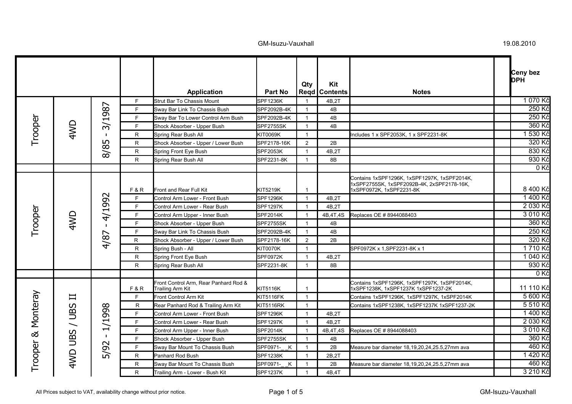|            |                |                                |     | <b>Application</b>                                        | Part No          | Qty                     | Kit<br><b>Regd   Contents</b> | <b>Notes</b>                                                                                                           | Ceny bez<br><b>DPH</b> |
|------------|----------------|--------------------------------|-----|-----------------------------------------------------------|------------------|-------------------------|-------------------------------|------------------------------------------------------------------------------------------------------------------------|------------------------|
|            |                |                                | F.  | <b>Strut Bar To Chassis Mount</b>                         | <b>SPF1236K</b>  |                         | 4B,2T                         |                                                                                                                        | 1070 Kč                |
|            |                |                                | F.  | Sway Bar Link To Chassis Bush                             | SPF2092B-4K      | $\overline{1}$          | 4B                            |                                                                                                                        | 250 Kč                 |
|            |                | 3/1987                         | F.  | Sway Bar To Lower Control Arm Bush                        | SPF2092B-4K      | $\overline{\mathbf{1}}$ | 4B                            |                                                                                                                        | 250 Kč                 |
| Trooper    | 4WD            |                                | F.  | Shock Absorber - Upper Bush                               | SPF2755SK        | $\overline{1}$          | 4B                            |                                                                                                                        | 360 Kč                 |
|            |                | $\mathbf{I}$                   | R.  | Spring Rear Bush All                                      | KIT0069K         | $\overline{1}$          |                               | Includes 1 x SPF2053K, 1 x SPF2231-8K                                                                                  | 1 530 Kč               |
|            |                | ഗ                              | R.  | Shock Absorber - Upper / Lower Bush                       | SPF2178-16K      | 2                       | 2B                            |                                                                                                                        | 320 Kč                 |
|            |                | 8/8                            | R.  | Spring Front Eye Bush                                     | <b>SPF2053K</b>  | $\overline{1}$          | 4B,2T                         |                                                                                                                        | 830 Kč                 |
|            |                |                                | R   | Spring Rear Bush All                                      | SPF2231-8K       | $\overline{1}$          | 8Β                            |                                                                                                                        | 930 Kč                 |
|            |                |                                |     |                                                           |                  |                         |                               |                                                                                                                        | 0Kč                    |
|            |                |                                | F&R | Front and Rear Full Kit                                   | KIT5219K         | $\overline{1}$          |                               | Contains 1xSPF1296K, 1xSPF1297K, 1xSPF2014K,<br>1xSPF2755SK, 1xSPF2092B-4K, 2xSPF2178-16K,<br>1xSPF0972K, 1xSPF2231-8K | 8 400 Kč               |
|            |                |                                | F.  | Control Arm Lower - Front Bush                            | <b>SPF1296K</b>  | $\overline{1}$          | 4B,2T                         |                                                                                                                        | 1400 Kč                |
|            | 4WD            | 4/1992<br>$\mathbf{I}$<br>4/87 | F.  | Control Arm Lower - Rear Bush                             | <b>SPF1297K</b>  | $\overline{1}$          | 4B.2T                         |                                                                                                                        | 2 030 Kč               |
| Trooper    |                |                                | F.  | Control Arm Upper - Inner Bush                            | <b>SPF2014K</b>  | $\overline{\mathbf{1}}$ | 4B, 4T, 4S                    | Replaces OE # 8944088403                                                                                               | 3 010 Kč               |
|            |                |                                | F.  | Shock Absorber - Upper Bush                               | SPF2755SK        | $\overline{1}$          | 4B                            |                                                                                                                        | 360 Kč                 |
|            |                |                                | F.  | Sway Bar Link To Chassis Bush                             | SPF2092B-4K      | $\overline{1}$          | 4B                            |                                                                                                                        | 250 Kč                 |
|            |                |                                | R   | Shock Absorber - Upper / Lower Bush                       | SPF2178-16K      | 2                       | 2B                            |                                                                                                                        | 320 Kč                 |
|            |                |                                | R   | Spring Bush - All                                         | <b>KIT0070K</b>  | $\overline{1}$          |                               | SPF0972K x 1, SPF2231-8K x 1                                                                                           | 1710 Kč                |
|            |                |                                | R   | Spring Front Eye Bush                                     | <b>SPF0972K</b>  | $\overline{1}$          | 4B,2T                         |                                                                                                                        | 1 040 Kč               |
|            |                |                                | R.  | Spring Rear Bush All                                      | SPF2231-8K       | $\overline{1}$          | 8B                            |                                                                                                                        | 930 Kč                 |
|            |                |                                |     |                                                           |                  |                         |                               |                                                                                                                        | 0Kč                    |
|            |                |                                | F&R | Front Control Arm, Rear Panhard Rod &<br>Trailing Arm Kit | KIT5116K         | $\overline{1}$          |                               | Contains 1xSPF1296K, 1xSPF1297K, 1xSPF2014K,<br>1xSPF1238K, 1xSPF1237K 1xSPF1237-2K                                    | 11 110 Kč              |
| & Monteray | $\mathbf{\Pi}$ |                                | F.  | Front Control Arm Kit                                     | <b>KIT5116FK</b> | $\overline{1}$          |                               | Contains 1xSPF1296K, 1xSPF1297K, 1xSPF2014K                                                                            | 5 600 Kč               |
|            |                | 1/1998                         | R   | Rear Panhard Rod & Trailing Arm Kit                       | KIT5116RK        | $\overline{1}$          |                               | Contains 1xSPF1238K, 1xSPF1237K 1xSPF1237-2K                                                                           | 5 510 Kč               |
|            |                |                                | F.  | Control Arm Lower - Front Bush                            | <b>SPF1296K</b>  | $\overline{1}$          | 4B,2T                         |                                                                                                                        | 1400 Kč                |
|            | / UBS          |                                | F.  | Control Arm Lower - Rear Bush                             | <b>SPF1297K</b>  | $\overline{1}$          | 4B,2T                         |                                                                                                                        | 2 030 Kč               |
|            |                |                                | F.  | Control Arm Upper - Inner Bush                            | <b>SPF2014K</b>  | $\overline{\mathbf{1}}$ | 4B, 4T, 4S                    | Replaces OE # 8944088403                                                                                               | 3 010 Kč               |
|            | <b>AWD UBS</b> | $\mathbf{I}$                   | F.  | Shock Absorber - Upper Bush                               | SPF2755SK        | $\overline{1}$          | 4B                            |                                                                                                                        | 360 Kč                 |
|            |                | 5/92                           | F.  | Sway Bar Mount To Chassis Bush                            | SPF0971-_K       | $\overline{1}$          | 2B                            | Measure bar diameter 18,19,20,24,25.5,27mm ava                                                                         | 460 Kč                 |
|            |                |                                | R   | Panhard Rod Bush                                          | <b>SPF1238K</b>  | $\overline{1}$          | 2B,2T                         |                                                                                                                        | 1420 Kč                |
| Trooper    |                |                                | R.  | Sway Bar Mount To Chassis Bush                            | SPF0971- K       | $\overline{1}$          | 2B                            | Measure bar diameter 18,19,20,24,25.5,27mm ava                                                                         | 460 Kč                 |
|            |                |                                | R.  | Trailing Arm - Lower - Bush Kit                           | <b>SPF1237K</b>  | $\overline{1}$          | 4B,4T                         |                                                                                                                        | 3 210 Kč               |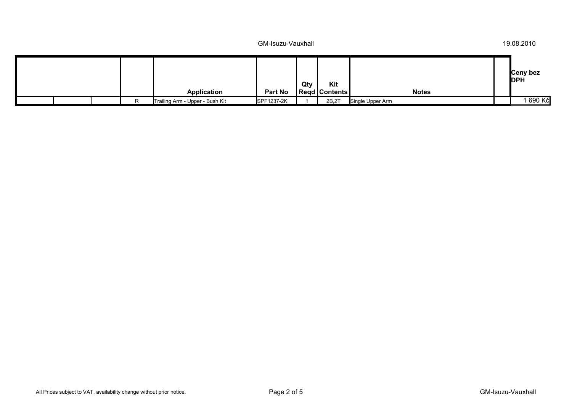|  |  |                                 |                | Qty | Kit             |                  | Ceny bez<br><b>DPH</b> |
|--|--|---------------------------------|----------------|-----|-----------------|------------------|------------------------|
|  |  | Application                     | <b>Part No</b> |     | Regd   Contents | <b>Notes</b>     |                        |
|  |  | Trailing Arm - Upper - Bush Kit | SPF1237-2K     |     | 2B,2T           | Single Upper Arm | 690 Kč                 |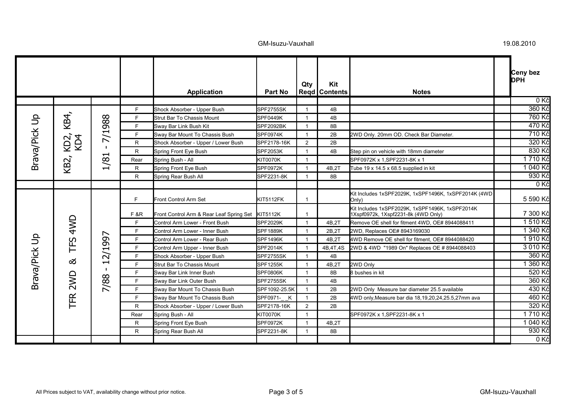|               |             |                                                                       |                | <b>Application</b>                       | <b>Part No</b>   | Qty                  | Kit<br><b>Regd Contents</b> | <b>Notes</b>                                                                           | Ceny bez<br><b>DPH</b> |
|---------------|-------------|-----------------------------------------------------------------------|----------------|------------------------------------------|------------------|----------------------|-----------------------------|----------------------------------------------------------------------------------------|------------------------|
|               |             |                                                                       |                |                                          |                  |                      |                             |                                                                                        | 0Kč                    |
|               |             |                                                                       | F.             | Shock Absorber - Upper Bush              | SPF2755SK        |                      | 4B                          |                                                                                        | 360 Kč                 |
|               | KB4,        |                                                                       | F.             | Strut Bar To Chassis Mount               | SPF0449K         | $\mathbf{1}$         | 4B                          |                                                                                        | 760 Kč                 |
| Brava/Pick Up |             | 988<br>F.<br>SPF2092BK<br>Sway Bar Link Bush Kit<br>8B<br>$\mathbf 1$ |                |                                          | 470 Kč           |                      |                             |                                                                                        |                        |
|               |             | 7/1                                                                   | F              | Sway Bar Mount To Chassis Bush           | <b>SPF0974K</b>  | -1                   | 2B                          | 2WD Only. 20mm OD. Check Bar Diameter.                                                 | 710 Kč                 |
|               | KD2,<br>KD4 | -1                                                                    | R              | Shock Absorber - Upper / Lower Bush      | SPF2178-16K      | $\overline{2}$       | 2B                          |                                                                                        | 320 Kč                 |
|               |             | $\blacksquare$                                                        | R.             | Spring Front Eye Bush                    | <b>SPF2053K</b>  | $\mathbf 1$          | 4B                          | Step pin on vehicle with 18mm diameter                                                 | 830 Kč                 |
|               |             | 1/8                                                                   | Rear           | Spring Bush - All                        | <b>KIT0070K</b>  | $\mathbf{1}$         |                             | SPF0972K x 1, SPF2231-8K x 1                                                           | 1710 Kč                |
|               | KB2,        |                                                                       | R.             | Spring Front Eye Bush                    | <b>SPF0972K</b>  | $\mathbf{1}$         | 4B.2T                       | Tube 19 x 14.5 x 68.5 supplied in kit                                                  | 040 Kč                 |
|               |             |                                                                       | R.             | Spring Rear Bush All                     | SPF2231-8K       | $\mathbf 1$          | 8B                          |                                                                                        | $930$ Kč               |
|               |             |                                                                       |                |                                          |                  |                      |                             |                                                                                        | 0 Kč                   |
|               |             | 997<br>2/1<br>$\blacksquare$                                          | F.             | Front Control Arm Set                    | <b>KIT5112FK</b> | $\mathbf 1$          |                             | Kit Includes 1xSPF2029K, 1xSPF1496K, 1xSPF2014K (4WD<br>(Only                          | 5 590 Kč               |
|               |             |                                                                       | <b>F&amp;R</b> | Front Control Arm & Rear Leaf Spring Set | <b>KIT5112K</b>  | -1                   |                             | Kit Includes 1xSPF2029K, 1xSPF1496K, 1xSPF2014K<br>1Xspf0972k, 1Xspf2231-8k (4WD Only) | 7 300 Kč               |
|               | 4WD         |                                                                       | F.             | Control Arm Lower - Front Bush           | <b>SPF2029K</b>  | $\mathbf{1}$         | 4B,2T                       | Remove OE shell for fitment 4WD, OE# 8944088411                                        | 1 510 Kč               |
|               |             |                                                                       | F.             | Control Arm Lower - Inner Bush           | <b>SPF1889K</b>  | $\mathbf{1}$         | 2B,2T                       | 2WD, Replaces OE# 8943169030                                                           | 1 340 Kč               |
|               |             |                                                                       | F.             | Control Arm Lower - Rear Bush            | <b>SPF1496K</b>  | -1                   | 4B,2T                       | 4WD Remove OE shell for fitment, OE# 8944088420                                        | 1910 Kč                |
|               | TFS         |                                                                       | F.             | Control Arm Upper - Inner Bush           | <b>SPF2014K</b>  |                      | 4B, 4T, 4S                  | 2WD & 4WD "1989 On" Replaces OE # 8944088403                                           | 3 010 Kč               |
|               |             |                                                                       | F              | Shock Absorber - Upper Bush              | SPF2755SK        | $\mathbf 1$          | 4B                          |                                                                                        | 360 Kč                 |
| Brava/Pick Up | ಹ           |                                                                       | F.             | Strut Bar To Chassis Mount               | <b>SPF1255K</b>  |                      | 4B,2T                       | 2WD Only                                                                               | 360 Kč                 |
|               |             |                                                                       | F.             | Sway Bar Link Inner Bush                 | <b>SPF0806K</b>  | $\mathbf 1$          | 8B                          | 8 bushes in kit                                                                        | 520 Kč                 |
|               | TFR 2WD     |                                                                       | F.             | Sway Bar Link Outer Bush                 | SPF2755SK        | $\mathbf 1$          | 4B                          |                                                                                        | 360 Kč                 |
|               |             | 7/88                                                                  | F.             | Sway Bar Mount To Chassis Bush           | SPF1092-25.5K    |                      | 2B                          | 2WD Only Measure bar diameter 25.5 available                                           | 430 Kč                 |
|               |             |                                                                       | F.             | Sway Bar Mount To Chassis Bush           | SPF0971-_K       | $\mathbf{1}$         | 2B                          | 4WD only, Measure bar dia 18, 19, 20, 24, 25.5, 27mm ava                               | 460 Kč                 |
|               |             |                                                                       | R              | Shock Absorber - Upper / Lower Bush      | SPF2178-16K      | 2                    | 2B                          |                                                                                        | 320 Kč                 |
|               |             |                                                                       | Rear           | Spring Bush - All                        | <b>KIT0070K</b>  | $\blacktriangleleft$ |                             | SPF0972K x 1, SPF2231-8K x 1                                                           | 1710 Kč                |
|               |             |                                                                       | R              | Spring Front Eye Bush                    | SPF0972K         | $\mathbf 1$          | 4B,2T                       |                                                                                        | 1 040 Kč               |
|               |             |                                                                       | R.             | Spring Rear Bush All                     | SPF2231-8K       | $\mathbf 1$          | 8B                          |                                                                                        | 930 Kč                 |
|               |             |                                                                       |                |                                          |                  |                      |                             |                                                                                        | 0 Kč                   |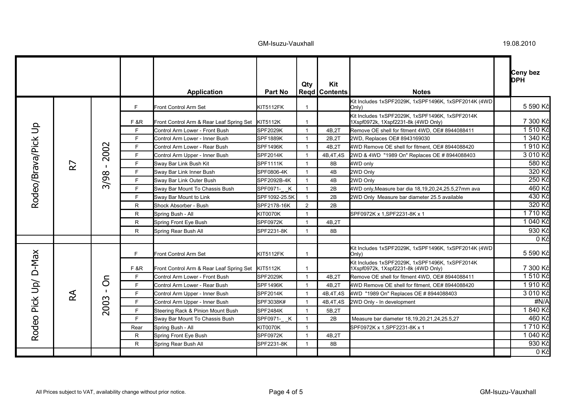|                     |                |                  |                |                                          |                 | Qty            | Kit                    |                                                                                        | Ceny bez<br><b>DPH</b> |
|---------------------|----------------|------------------|----------------|------------------------------------------|-----------------|----------------|------------------------|----------------------------------------------------------------------------------------|------------------------|
|                     |                |                  |                | <b>Application</b>                       | Part No         |                | <b>Regd   Contents</b> | <b>Notes</b>                                                                           |                        |
|                     |                |                  | F.             | Front Control Arm Set                    | KIT5112FK       | $\mathbf{1}$   |                        | Kit Includes 1xSPF2029K, 1xSPF1496K, 1xSPF2014K (4WD<br>(Only                          | 5 590 Kč               |
|                     |                |                  | <b>F&amp;R</b> | Front Control Arm & Rear Leaf Spring Set | <b>KIT5112K</b> | $\mathbf{1}$   |                        | Kit Includes 1xSPF2029K, 1xSPF1496K, 1xSPF2014K<br>1Xspf0972k, 1Xspf2231-8k (4WD Only) | 7 300 Kč               |
| Rodeo/Brava/Pick Up |                |                  | F.             | Control Arm Lower - Front Bush           | SPF2029K        | $\mathbf{1}$   | 4B,2T                  | Remove OE shell for fitment 4WD, OE# 8944088411                                        | 1510 Kč                |
|                     |                |                  | F.             | Control Arm Lower - Inner Bush           | SPF1889K        | $\overline{1}$ | 2B.2T                  | 2WD, Replaces OE# 8943169030                                                           | 1 340 Kč               |
|                     |                | 2002             | F.             | Control Arm Lower - Rear Bush            | <b>SPF1496K</b> | $\mathbf{1}$   | 4B,2T                  | 4WD Remove OE shell for fitment, OE# 8944088420                                        | 1910 Kč                |
|                     |                |                  | F.             | Control Arm Upper - Inner Bush           | <b>SPF2014K</b> | $\mathbf 1$    | 4B, 4T, 4S             | 2WD & 4WD "1989 On" Replaces OE #8944088403                                            | 3 010 Kč               |
|                     | R <sub>7</sub> |                  | F.             | Sway Bar Link Bush Kit                   | <b>SPF1111K</b> | $\mathbf{1}$   | 8B                     | 4WD only                                                                               | 580 Kč                 |
|                     |                |                  | F.             | Sway Bar Link Inner Bush                 | SPF0806-4K      | $\mathbf{1}$   | 4B                     | 2WD Only                                                                               | 320 Kč                 |
|                     |                | 3/98             | F.             | Sway Bar Link Outer Bush                 | SPF2092B-4K     | $\mathbf{1}$   | 4B                     | 2WD Only                                                                               | 250 Kč                 |
|                     |                |                  | F.             | Sway Bar Mount To Chassis Bush           | SPF0971-_K      | $\mathbf{1}$   | 2B                     | 4WD only, Measure bar dia 18, 19, 20, 24, 25.5, 27mm ava                               | 460 Kč                 |
|                     |                |                  | F.             | Sway Bar Mount to Link                   | SPF1092-25.5K   | $\mathbf{1}$   | 2B                     | 2WD Only Measure bar diameter 25.5 available                                           | 430 Kč                 |
|                     |                |                  | R              | Shock Absorber - Bush                    | SPF2178-16K     | $\overline{2}$ | 2B                     |                                                                                        | 320 Kč                 |
|                     |                |                  | R              | Spring Bush - All                        | KIT0070K        | $\mathbf{1}$   |                        | SPF0972K x 1,SPF2231-8K x 1                                                            | 1710 Kč                |
|                     |                |                  | R.             | Spring Front Eye Bush                    | <b>SPF0972K</b> | $\mathbf{1}$   | 4B,2T                  |                                                                                        | 1 040 Kč               |
|                     |                |                  | R.             | Spring Rear Bush All                     | SPF2231-8K      | $\mathbf{1}$   | 8B                     |                                                                                        | 930 Kč                 |
|                     |                |                  |                |                                          |                 |                |                        |                                                                                        | 0Kč                    |
|                     |                |                  | F.             | Front Control Arm Set                    | KIT5112FK       | $\mathbf{1}$   |                        | Kit Includes 1xSPF2029K, 1xSPF1496K, 1xSPF2014K (4WD)<br>Only)                         | 5 590 Kč               |
| $D-Max$             |                |                  | F &R           | Front Control Arm & Rear Leaf Spring Set | <b>KIT5112K</b> | $\mathbf{1}$   |                        | Kit Includes 1xSPF2029K, 1xSPF1496K, 1xSPF2014K<br>1Xspf0972k, 1Xspf2231-8k (4WD Only) | 7 300 Kč               |
|                     |                | $\delta$<br>2003 | F.             | Control Arm Lower - Front Bush           | SPF2029K        | $\mathbf{1}$   | 4B,2T                  | Remove OE shell for fitment 4WD, OE# 8944088411                                        | 1510 Kč                |
| Pick Up/            |                |                  | F.             | Control Arm Lower - Rear Bush            | <b>SPF1496K</b> | $\mathbf{1}$   | 4B.2T                  | 4WD Remove OE shell for fitment, OE# 8944088420                                        | 1910 Kč                |
|                     | RA             |                  | F.             | Control Arm Upper - Inner Bush           | <b>SPF2014K</b> | $\mathbf{1}$   | 4B, 4T, 4S             | 4WD "1989 On" Replaces OE #8944088403                                                  | 3 010 Kč               |
|                     |                |                  | F.             | Control Arm Upper - Inner Bush           | SPF3038K#       | $\mathbf 1$    | 4B, 4T, 4S             | 2WD Only - In development                                                              | #N/A                   |
|                     |                |                  | F.             | Steering Rack & Pinion Mount Bush        | <b>SPF2484K</b> | $\mathbf{1}$   | 5B,2T                  |                                                                                        | 1840 Kč                |
| <b>Rodeo</b>        |                |                  | F.             | Sway Bar Mount To Chassis Bush           | SPF0971-_K      | $\mathbf{1}$   | 2B                     | Measure bar diameter 18,19,20,21,24,25.5,27                                            | 460 Kč                 |
|                     |                |                  | Rear           | Spring Bush - All                        | <b>KIT0070K</b> | $\mathbf{1}$   |                        | SPF0972K x 1, SPF2231-8K x 1                                                           | 1710 Kč                |
|                     |                |                  | R              | Spring Front Eye Bush                    | SPF0972K        | $\mathbf{1}$   | 4B,2T                  |                                                                                        | 1 040 Kč               |
|                     |                |                  | R.             | Spring Rear Bush All                     | SPF2231-8K      | $\mathbf{1}$   | 8B                     |                                                                                        | 930 Kč                 |
|                     |                |                  |                |                                          |                 |                |                        |                                                                                        | 0 Kč                   |